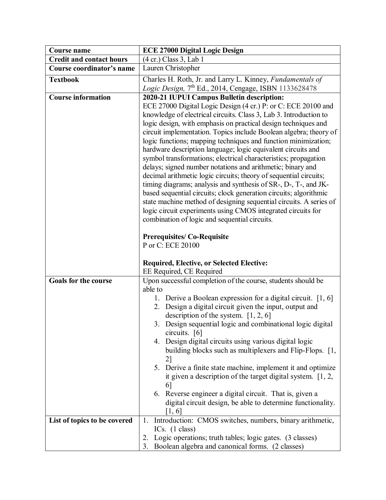| Course name                     | <b>ECE 27000 Digital Logic Design</b>                                                                                                                                                                                                                                                                                                                                                                                                                                                                                                                                                                                                                                                                                                                                                                                                                                                                                                            |
|---------------------------------|--------------------------------------------------------------------------------------------------------------------------------------------------------------------------------------------------------------------------------------------------------------------------------------------------------------------------------------------------------------------------------------------------------------------------------------------------------------------------------------------------------------------------------------------------------------------------------------------------------------------------------------------------------------------------------------------------------------------------------------------------------------------------------------------------------------------------------------------------------------------------------------------------------------------------------------------------|
| <b>Credit and contact hours</b> | (4 cr.) Class 3, Lab 1                                                                                                                                                                                                                                                                                                                                                                                                                                                                                                                                                                                                                                                                                                                                                                                                                                                                                                                           |
| Course coordinator's name       | Lauren Christopher                                                                                                                                                                                                                                                                                                                                                                                                                                                                                                                                                                                                                                                                                                                                                                                                                                                                                                                               |
| <b>Textbook</b>                 | Charles H. Roth, Jr. and Larry L. Kinney, Fundamentals of                                                                                                                                                                                                                                                                                                                                                                                                                                                                                                                                                                                                                                                                                                                                                                                                                                                                                        |
|                                 | Logic Design, 7 <sup>th</sup> Ed., 2014, Cengage, ISBN 1133628478                                                                                                                                                                                                                                                                                                                                                                                                                                                                                                                                                                                                                                                                                                                                                                                                                                                                                |
| <b>Course information</b>       | 2020-21 IUPUI Campus Bulletin description:                                                                                                                                                                                                                                                                                                                                                                                                                                                                                                                                                                                                                                                                                                                                                                                                                                                                                                       |
|                                 | ECE 27000 Digital Logic Design (4 cr.) P: or C: ECE 20100 and<br>knowledge of electrical circuits. Class 3, Lab 3. Introduction to<br>logic design, with emphasis on practical design techniques and<br>circuit implementation. Topics include Boolean algebra; theory of<br>logic functions; mapping techniques and function minimization;<br>hardware description language; logic equivalent circuits and<br>symbol transformations; electrical characteristics; propagation<br>delays; signed number notations and arithmetic; binary and<br>decimal arithmetic logic circuits; theory of sequential circuits;<br>timing diagrams; analysis and synthesis of SR-, D-, T-, and JK-<br>based sequential circuits; clock generation circuits; algorithmic<br>state machine method of designing sequential circuits. A series of<br>logic circuit experiments using CMOS integrated circuits for<br>combination of logic and sequential circuits. |
|                                 | <b>Prerequisites/Co-Requisite</b><br>P or C: ECE 20100<br><b>Required, Elective, or Selected Elective:</b><br>EE Required, CE Required                                                                                                                                                                                                                                                                                                                                                                                                                                                                                                                                                                                                                                                                                                                                                                                                           |
| <b>Goals for the course</b>     | Upon successful completion of the course, students should be                                                                                                                                                                                                                                                                                                                                                                                                                                                                                                                                                                                                                                                                                                                                                                                                                                                                                     |
|                                 | able to<br>1. Derive a Boolean expression for a digital circuit. $[1, 6]$<br>2. Design a digital circuit given the input, output and<br>description of the system. $[1, 2, 6]$<br>3. Design sequential logic and combinational logic digital<br>circuits. $[6]$<br>4. Design digital circuits using various digital logic<br>building blocks such as multiplexers and Flip-Flops. [1,<br>2]<br>5. Derive a finite state machine, implement it and optimize<br>it given a description of the target digital system. $[1, 2, 1]$<br>6<br>6. Reverse engineer a digital circuit. That is, given a<br>digital circuit design, be able to determine functionality.<br>[1, 6]                                                                                                                                                                                                                                                                          |
| List of topics to be covered    | Introduction: CMOS switches, numbers, binary arithmetic,<br>1.                                                                                                                                                                                                                                                                                                                                                                                                                                                                                                                                                                                                                                                                                                                                                                                                                                                                                   |
|                                 | ICs. $(1 \text{ class})$                                                                                                                                                                                                                                                                                                                                                                                                                                                                                                                                                                                                                                                                                                                                                                                                                                                                                                                         |
|                                 | Logic operations; truth tables; logic gates. (3 classes)<br>2.<br>3. Boolean algebra and canonical forms. (2 classes)                                                                                                                                                                                                                                                                                                                                                                                                                                                                                                                                                                                                                                                                                                                                                                                                                            |